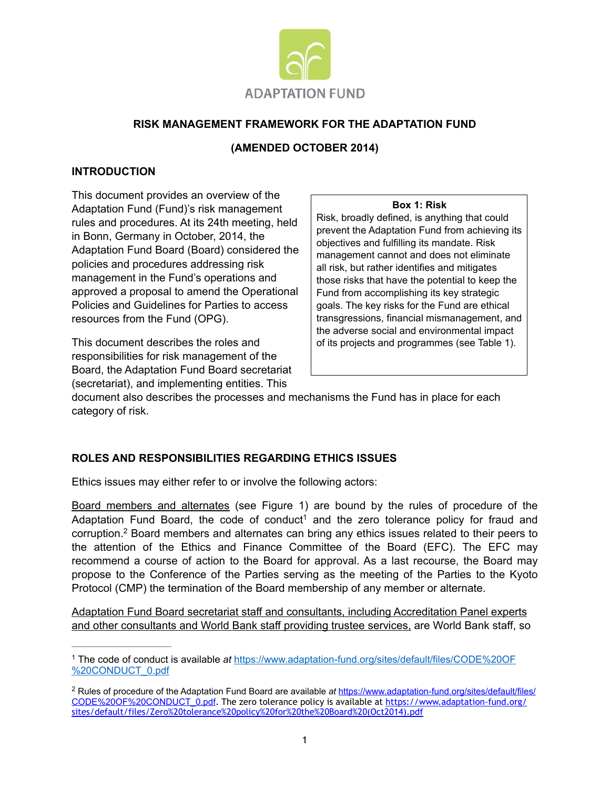

## **RISK MANAGEMENT FRAMEWORK FOR THE ADAPTATION FUND**

## **(AMENDED OCTOBER 2014)**

### **INTRODUCTION**

This document provides an overview of the Adaptation Fund (Fund)'s risk management rules and procedures. At its 24th meeting, held in Bonn, Germany in October, 2014, the Adaptation Fund Board (Board) considered the policies and procedures addressing risk management in the Fund's operations and approved a proposal to amend the Operational Policies and Guidelines for Parties to access resources from the Fund (OPG).

This document describes the roles and responsibilities for risk management of the Board, the Adaptation Fund Board secretariat (secretariat), and implementing entities. This

#### **Box 1: Risk**

Risk, broadly defined, is anything that could prevent the Adaptation Fund from achieving its objectives and fulfilling its mandate. Risk management cannot and does not eliminate all risk, but rather identifies and mitigates those risks that have the potential to keep the Fund from accomplishing its key strategic goals. The key risks for the Fund are ethical transgressions, financial mismanagement, and the adverse social and environmental impact of its projects and programmes (see Table 1).

document also describes the processes and mechanisms the Fund has in place for each category of risk.

## **ROLES AND RESPONSIBILITIES REGARDING ETHICS ISSUES**

Ethics issues may either refer to or involve the following actors:

Board members and alternates (see Figure 1) are bound by the rules of procedure of the Adaptation Fund Board, the code of conduct<sup>1</sup> and the zero tolerance policy for fraud and corruption.<sup>2</sup> Board members and alternates can bring any ethics issues related to their peers to the attention of the Ethics and Finance Committee of the Board (EFC). The EFC may recommend a course of action to the Board for approval. As a last recourse, the Board may propose to the Conference of the Parties serving as the meeting of the Parties to the Kyoto Protocol (CMP) the termination of the Board membership of any member or alternate.

Adaptation Fund Board secretariat staff and consultants, including Accreditation Panel experts and other consultants and World Bank staff providing trustee services, are World Bank staff, so

<sup>1</sup> The code of conduct is available *at* [https://www.adaptation-fund.org/sites/default/files/CODE%20OF](https://www.adaptation-fund.org/sites/default/files/code%2520of%2520conduct_0.pdf) %20CONDUCT\_0.pdf

<sup>&</sup>lt;sup>2</sup> Rules of procedure of the Adaptation Fund Board are available at https://www.adaptation-fund.org/sites/default/files/ CODE%20OF%20CONDUCT\_0.pdf[. The zero tolerance policy is available at https://www.adaptation-fund.org/](https://www.adaptation-fund.org/sites/default/files/code%25252520of%25252520conduct_0.pdf) [sites/default/files/Zero%20tolerance%20policy%20for%20the%20Board%20\(Oct2014\).pdf](https://www.adaptation-fund.org/sites/default/files/zero%25252520tolerance%25252520policy%25252520for%25252520the%25252520board%25252520(oct2014).pdf)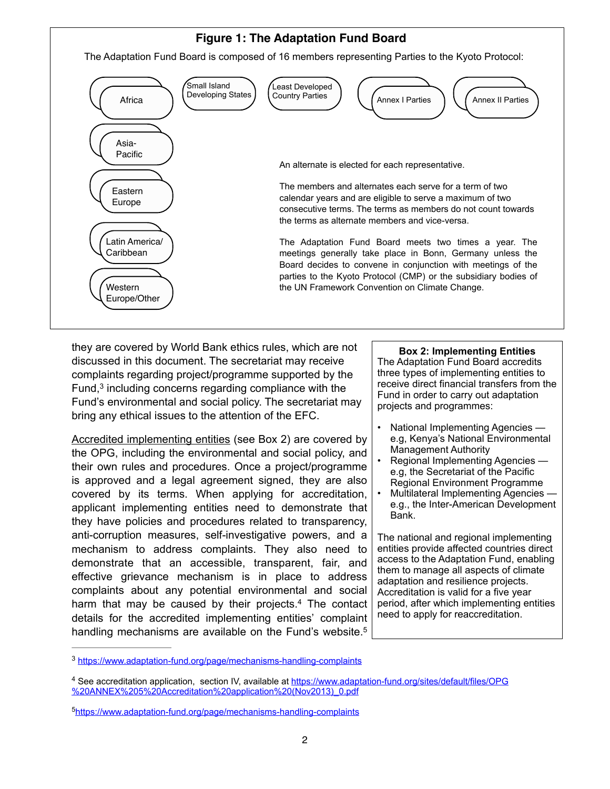# **Figure 1: The Adaptation Fund Board**

The Adaptation Fund Board is composed of 16 members representing Parties to the Kyoto Protocol:



they are covered by World Bank ethics rules, which are not discussed in this document. The secretariat may receive complaints regarding project/programme supported by the Fund, $3$  including concerns regarding compliance with the Fund's environmental and social policy. The secretariat may bring any ethical issues to the attention of the EFC.

Accredited implementing entities (see Box 2) are covered by the OPG, including the environmental and social policy, and their own rules and procedures. Once a project/programme is approved and a legal agreement signed, they are also covered by its terms. When applying for accreditation, applicant implementing entities need to demonstrate that they have policies and procedures related to transparency, anti-corruption measures, self-investigative powers, and a mechanism to address complaints. They also need to demonstrate that an accessible, transparent, fair, and effective grievance mechanism is in place to address complaints about any potential environmental and social harm that may be caused by their projects.<sup>4</sup> The contact details for the accredited implementing entities' complaint handling mechanisms are available on the Fund's website.<sup>5</sup>

#### **Box 2: Implementing Entities** The Adaptation Fund [Board](http://www.adaptation-fund.org/about/the-board) accredits three types of implementing entities to receive direct financial transfers from the Fund in order to carry out adaptation projects and programmes:

- National Implementing Agencies e.g, Kenya's National Environmental Management Authority
- Regional Implementing Agencies e.g, the Secretariat of the Pacific Regional Environment Programme
- Multilateral Implementing Agencies e.g., the Inter-American Development Bank.

The national and regional implementing entities provide affected countries direct access to the Adaptation Fund, enabling them to manage all aspects of climate adaptation and resilience projects. Accreditation is valid for a five year period, after which implementing entities need to apply for reaccreditation.

<sup>&</sup>lt;sup>3</sup> <https://www.adaptation-fund.org/page/mechanisms-handling-complaints>

[<sup>4</sup> See accreditation application, section IV, available at https://www.adaptation-fund.org/sites/default/files/OPG](https://www.adaptation-fund.org/sites/default/files/opg%25252520annex%252525205%25252520accreditation%25252520application%25252520(nov2013)_0.pdf) %20ANNEX%205%20Accreditation%20application%20(Nov2013)\_0.pdf

<https://www.adaptation-fund.org/page/mechanisms-handling-complaints> <sup>5</sup>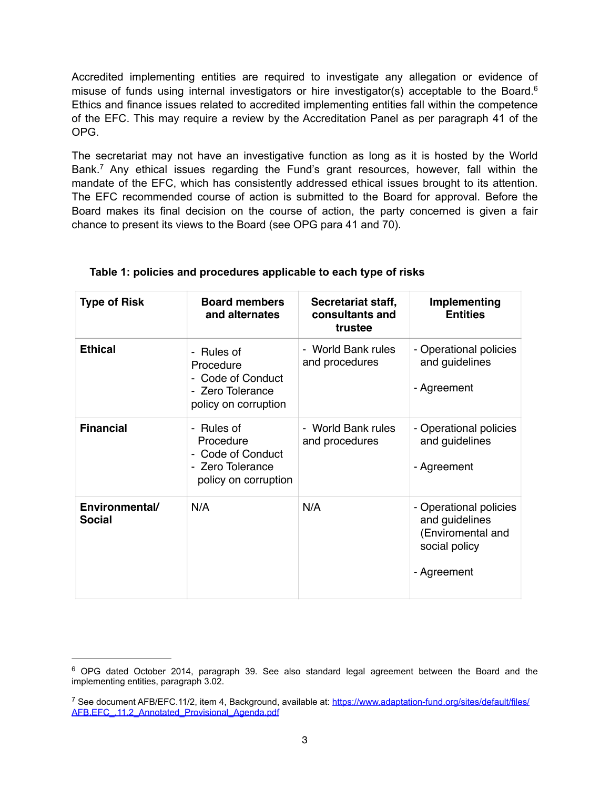Accredited implementing entities are required to investigate any allegation or evidence of misuse of funds using internal investigators or hire investigator(s) acceptable to the Board.<sup>6</sup> Ethics and finance issues related to accredited implementing entities fall within the competence of the EFC. This may require a review by the Accreditation Panel as per paragraph 41 of the OPG.

The secretariat may not have an investigative function as long as it is hosted by the World Bank.<sup>7</sup> Any ethical issues regarding the Fund's grant resources, however, fall within the mandate of the EFC, which has consistently addressed ethical issues brought to its attention. The EFC recommended course of action is submitted to the Board for approval. Before the Board makes its final decision on the course of action, the party concerned is given a fair chance to present its views to the Board (see OPG para 41 and 70).

| <b>Type of Risk</b>             | <b>Board members</b><br>and alternates                                                   | Secretariat staff,<br>consultants and<br>trustee | Implementing<br><b>Entities</b>                                                               |
|---------------------------------|------------------------------------------------------------------------------------------|--------------------------------------------------|-----------------------------------------------------------------------------------------------|
| <b>Ethical</b>                  | - Rules of<br>Procedure<br>- Code of Conduct<br>- Zero Tolerance<br>policy on corruption | - World Bank rules<br>and procedures             | - Operational policies<br>and guidelines<br>- Agreement                                       |
| <b>Financial</b>                | - Rules of<br>Procedure<br>- Code of Conduct<br>- Zero Tolerance<br>policy on corruption | - World Bank rules<br>and procedures             | - Operational policies<br>and guidelines<br>- Agreement                                       |
| Environmental/<br><b>Social</b> | N/A                                                                                      | N/A                                              | - Operational policies<br>and guidelines<br>(Enviromental and<br>social policy<br>- Agreement |

## **Table 1: policies and procedures applicable to each type of risks**

 $6$  OPG dated October 2014, paragraph 39. See also standard legal agreement between the Board and the implementing entities, paragraph 3.02.

<sup>&</sup>lt;sup>7</sup> [See document AFB/EFC.11/2, item 4, Background, available at: https://www.adaptation-fund.org/sites/default/files/](https://www.adaptation-fund.org/sites/default/files/afb.efc_.11.2_annotated_provisional_agenda.pdf) AFB.EFC\_.11.2\_Annotated\_Provisional\_Agenda.pdf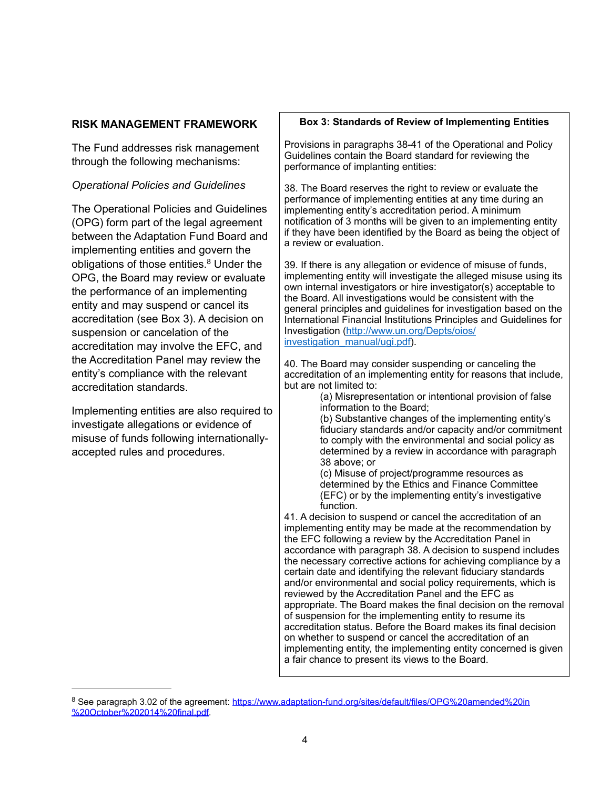## **RISK MANAGEMENT FRAMEWORK**

The Fund addresses risk management through the following mechanisms:

## *Operational Policies and Guidelines*

The Operational Policies and Guidelines (OPG) form part of the legal agreement between the Adaptation Fund Board and implementing entities and govern the obligations of those entities.<sup>8</sup> Under the OPG, the Board may review or evaluate the performance of an implementing entity and may suspend or cancel its accreditation (see Box 3). A decision on suspension or cancelation of the accreditation may involve the EFC, and the Accreditation Panel may review the entity's compliance with the relevant accreditation standards.

Implementing entities are also required to investigate allegations or evidence of misuse of funds following internationallyaccepted rules and procedures.

#### **Box 3: Standards of Review of Implementing Entities**

Provisions in paragraphs 38-41 of the Operational and Policy Guidelines contain the Board standard for reviewing the performance of implanting entities:

38. The Board reserves the right to review or evaluate the performance of implementing entities at any time during an implementing entity's accreditation period. A minimum notification of 3 months will be given to an implementing entity if they have been identified by the Board as being the object of a review or evaluation.

39. If there is any allegation or evidence of misuse of funds, implementing entity will investigate the alleged misuse using its own internal investigators or hire investigator(s) acceptable to the Board. All investigations would be consistent with the general principles and guidelines for investigation based on the International Financial Institutions Principles and Guidelines for [Investigation \(http://www.un.org/Depts/oios/](http://www.un.org/depts/oios/investigation_manual/ugi.pdf) investigation\_manual/ugi.pdf).

40. The Board may consider suspending or canceling the accreditation of an implementing entity for reasons that include, but are not limited to:

(a) Misrepresentation or intentional provision of false information to the Board;

(b) Substantive changes of the implementing entity's fiduciary standards and/or capacity and/or commitment to comply with the environmental and social policy as determined by a review in accordance with paragraph 38 above; or

(c) Misuse of project/programme resources as determined by the Ethics and Finance Committee (EFC) or by the implementing entity's investigative function.

41. A decision to suspend or cancel the accreditation of an implementing entity may be made at the recommendation by the EFC following a review by the Accreditation Panel in accordance with paragraph 38. A decision to suspend includes the necessary corrective actions for achieving compliance by a certain date and identifying the relevant fiduciary standards and/or environmental and social policy requirements, which is reviewed by the Accreditation Panel and the EFC as appropriate. The Board makes the final decision on the removal of suspension for the implementing entity to resume its accreditation status. Before the Board makes its final decision on whether to suspend or cancel the accreditation of an implementing entity, the implementing entity concerned is given a fair chance to present its views to the Board.

<sup>&</sup>lt;sup>8</sup> [See paragraph 3.02 of the agreement: https://www.adaptation-fund.org/sites/default/files/OPG%20amended%20in](https://www.adaptation-fund.org/sites/default/files/opg%25252520amended%25252520in%25252520october%252525202014%25252520final.pdf) %20October%202014%20final.pdf.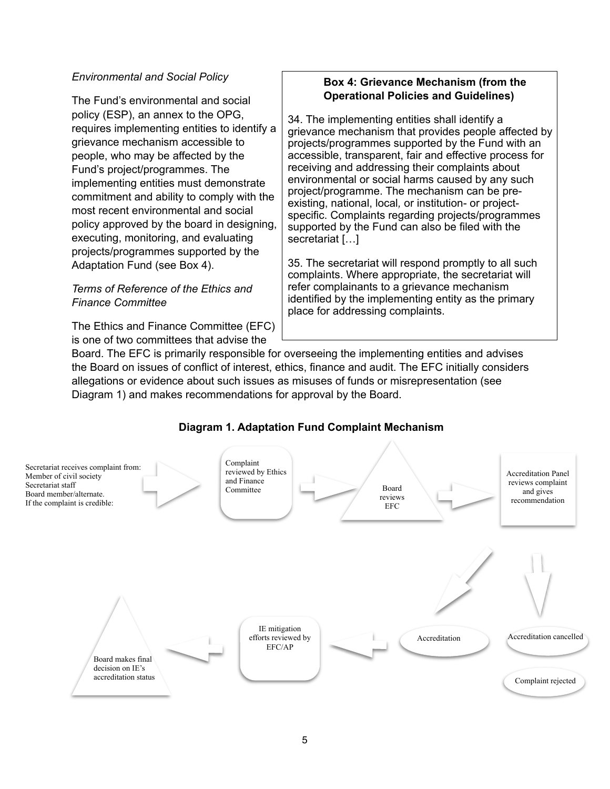## *Environmental and Social Policy*

The Fund's environmental and social policy (ESP), an annex to the OPG, requires implementing entities to identify a grievance mechanism accessible to people, who may be affected by the Fund's project/programmes. The implementing entities must demonstrate commitment and ability to comply with the most recent environmental and social policy approved by the board in designing, executing, monitoring, and evaluating projects/programmes supported by the Adaptation Fund (see Box 4).

## *Terms of Reference of the Ethics and Finance Committee*

The Ethics and Finance Committee (EFC) is one of two committees that advise the

## **Box 4: Grievance Mechanism (from the Operational Policies and Guidelines)**

34. The implementing entities shall identify a grievance mechanism that provides people affected by projects/programmes supported by the Fund with an accessible, transparent, fair and effective process for receiving and addressing their complaints about environmental or social harms caused by any such project/programme. The mechanism can be preexisting, national, local*,* or institution- or projectspecific. Complaints regarding projects/programmes supported by the Fund can also be filed with the secretariat […]

35. The secretariat will respond promptly to all such complaints. Where appropriate, the secretariat will refer complainants to a grievance mechanism identified by the implementing entity as the primary place for addressing complaints.

Board. The EFC is primarily responsible for overseeing the implementing entities and advises the Board on issues of conflict of interest, ethics, finance and audit. The EFC initially considers allegations or evidence about such issues as misuses of funds or misrepresentation (see Diagram 1) and makes recommendations for approval by the Board.

# **Diagram 1. Adaptation Fund Complaint Mechanism**

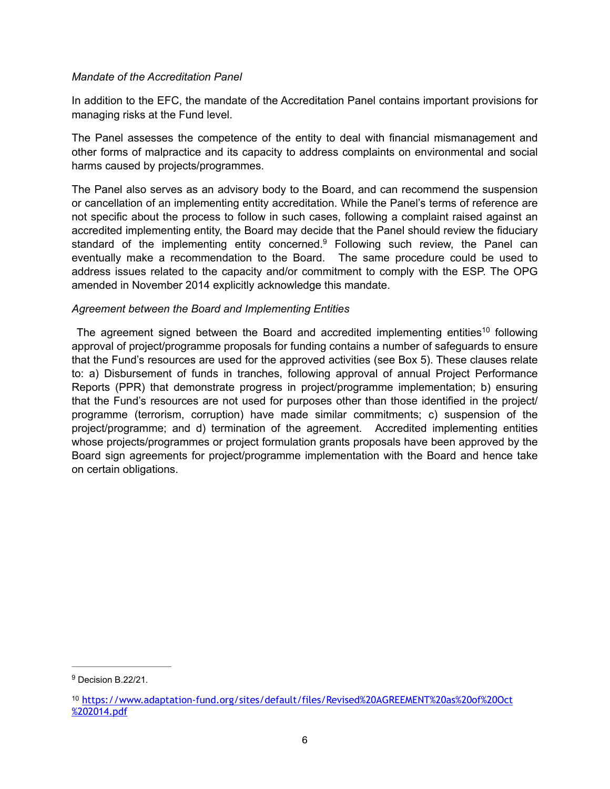## *Mandate of the Accreditation Panel*

In addition to the EFC, the mandate of the Accreditation Panel contains important provisions for managing risks at the Fund level.

The Panel assesses the competence of the entity to deal with financial mismanagement and other forms of malpractice and its capacity to address complaints on environmental and social harms caused by projects/programmes.

The Panel also serves as an advisory body to the Board, and can recommend the suspension or cancellation of an implementing entity accreditation. While the Panel's terms of reference are not specific about the process to follow in such cases, following a complaint raised against an accredited implementing entity, the Board may decide that the Panel should review the fiduciary standard of the implementing entity concerned.<sup>9</sup> Following such review, the Panel can eventually make a recommendation to the Board. The same procedure could be used to address issues related to the capacity and/or commitment to comply with the ESP. The OPG amended in November 2014 explicitly acknowledge this mandate.

### *Agreement between the Board and Implementing Entities*

The agreement signed between the Board and accredited implementing entities<sup>10</sup> following approval of project/programme proposals for funding contains a number of safeguards to ensure that the Fund's resources are used for the approved activities (see Box 5). These clauses relate to: a) Disbursement of funds in tranches, following approval of annual Project Performance Reports (PPR) that demonstrate progress in project/programme implementation; b) ensuring that the Fund's resources are not used for purposes other than those identified in the project/ programme (terrorism, corruption) have made similar commitments; c) suspension of the project/programme; and d) termination of the agreement. Accredited implementing entities whose projects/programmes or project formulation grants proposals have been approved by the Board sign agreements for project/programme implementation with the Board and hence take on certain obligations.

<sup>&</sup>lt;sup>9</sup> Decision B.22/21.

<sup>10</sup> [https://www.adaptation-fund.org/sites/default/files/Revised%20AGREEMENT%20as%20of%20Oct](https://www.adaptation-fund.org/sites/default/files/revised%25252520agreement%25252520as%25252520of%25252520oct%252525202014.pdf) %202014.pdf